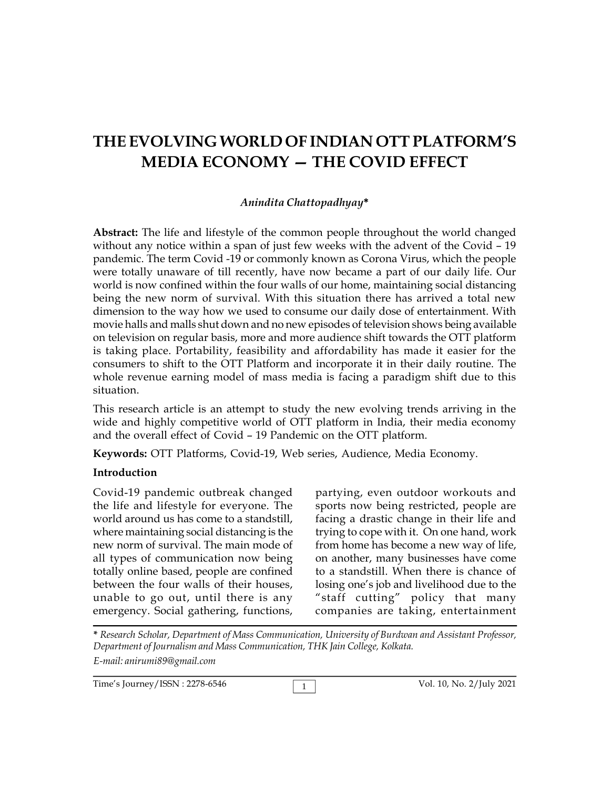# **THE EVOLVING WORLD OF INDIAN OTT PLATFORM'S MEDIA ECONOMY — THE COVID EFFECT**

## *Anindita Chattopadhyay***\***

**Abstract:** The life and lifestyle of the common people throughout the world changed without any notice within a span of just few weeks with the advent of the Covid – 19 pandemic. The term Covid -19 or commonly known as Corona Virus, which the people were totally unaware of till recently, have now became a part of our daily life. Our world is now confined within the four walls of our home, maintaining social distancing being the new norm of survival. With this situation there has arrived a total new dimension to the way how we used to consume our daily dose of entertainment. With movie halls and malls shut down and no new episodes of television shows being available on television on regular basis, more and more audience shift towards the OTT platform is taking place. Portability, feasibility and affordability has made it easier for the consumers to shift to the OTT Platform and incorporate it in their daily routine. The whole revenue earning model of mass media is facing a paradigm shift due to this situation.

This research article is an attempt to study the new evolving trends arriving in the wide and highly competitive world of OTT platform in India, their media economy and the overall effect of Covid – 19 Pandemic on the OTT platform.

**Keywords:** OTT Platforms, Covid-19, Web series, Audience, Media Economy.

## **Introduction**

Covid-19 pandemic outbreak changed the life and lifestyle for everyone. The world around us has come to a standstill, where maintaining social distancing is the new norm of survival. The main mode of all types of communication now being totally online based, people are confined between the four walls of their houses, unable to go out, until there is any emergency. Social gathering, functions,

partying, even outdoor workouts and sports now being restricted, people are facing a drastic change in their life and trying to cope with it. On one hand, work from home has become a new way of life, on another, many businesses have come to a standstill. When there is chance of losing one's job and livelihood due to the "staff cutting" policy that many companies are taking, entertainment

**\*** *Research Scholar, Department of Mass Communication, University of Burdwan and Assistant Professor, Department of Journalism and Mass Communication, THK Jain College, Kolkata. E-mail: anirumi89@gmail.com*

1 Time's Journey/ISSN : 2278-6546 Vol. 10, No. 2/July 2021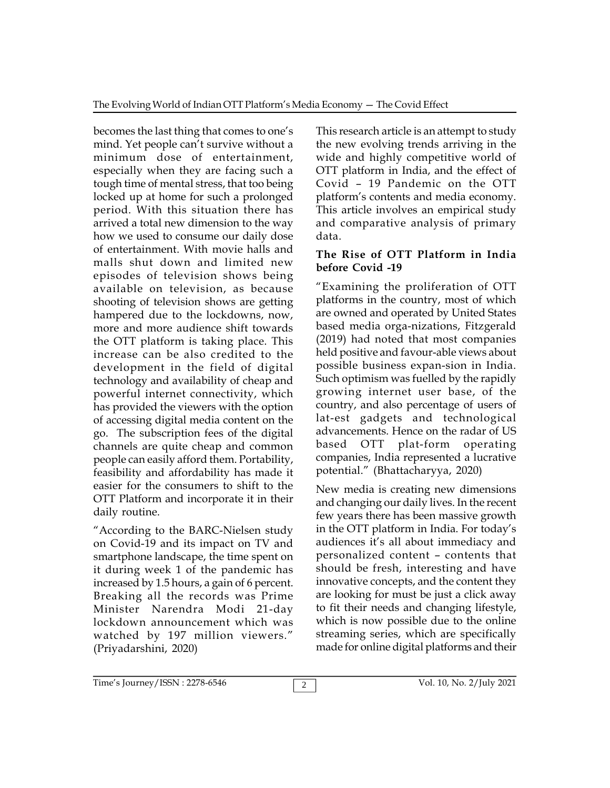becomes the last thing that comes to one's mind. Yet people can't survive without a minimum dose of entertainment, especially when they are facing such a tough time of mental stress, that too being locked up at home for such a prolonged period. With this situation there has arrived a total new dimension to the way how we used to consume our daily dose of entertainment. With movie halls and malls shut down and limited new episodes of television shows being available on television, as because shooting of television shows are getting hampered due to the lockdowns, now, more and more audience shift towards the OTT platform is taking place. This increase can be also credited to the development in the field of digital technology and availability of cheap and powerful internet connectivity, which has provided the viewers with the option of accessing digital media content on the go. The subscription fees of the digital advancements<br>channels are quite cheap and common based OTT channels are quite cheap and common people can easily afford them. Portability, feasibility and affordability has made it easier for the consumers to shift to the OTT Platform and incorporate it in their daily routine.

"According to the BARC-Nielsen study on Covid-19 and its impact on TV and smartphone landscape, the time spent on it during week 1 of the pandemic has increased by 1.5 hours, a gain of 6 percent. Breaking all the records was Prime Minister Narendra Modi 21-day lockdown announcement which was watched by 197 million viewers." (Priyadarshini, 2020)

This research article is an attempt to study the new evolving trends arriving in the wide and highly competitive world of OTT platform in India, and the effect of Covid – 19 Pandemic on the OTT platform's contents and media economy. This article involves an empirical study and comparative analysis of primary data.

## **The Rise of OTT Platform in India before Covid -19**

"Examining the proliferation of OTT platforms in the country, most of which are owned and operated by United States based media orga-nizations, Fitzgerald (2019) had noted that most companies held positive and favour-able views about possible business expan-sion in India. Such optimism was fuelled by the rapidly growing internet user base, of the country, and also percentage of users of lat-est gadgets and technological advancements. Hence on the radar of US plat-form operating companies, India represented a lucrative potential." (Bhattacharyya, 2020)

New media is creating new dimensions and changing our daily lives. In the recent few years there has been massive growth in the OTT platform in India. For today's audiences it's all about immediacy and personalized content – contents that should be fresh, interesting and have innovative concepts, and the content they are looking for must be just a click away to fit their needs and changing lifestyle, which is now possible due to the online streaming series, which are specifically made for online digital platforms and their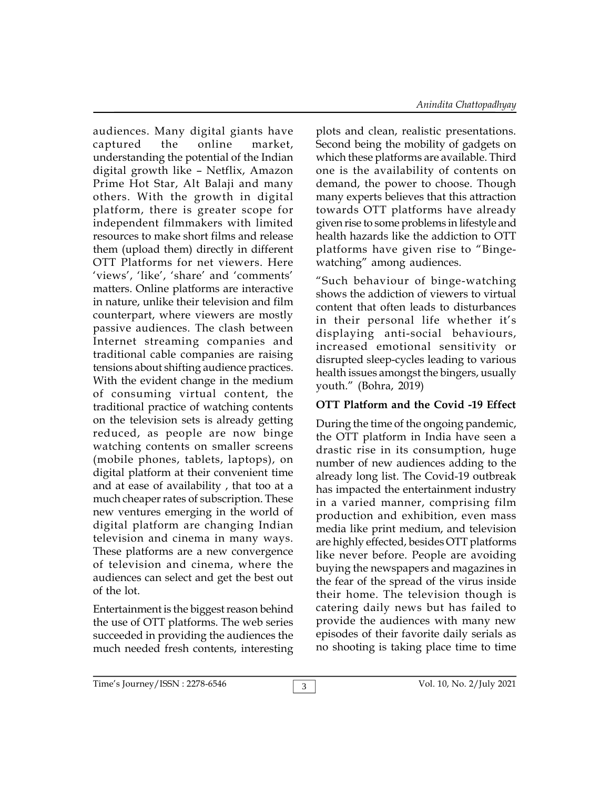audiences. Many digital giants have captured the online market, understanding the potential of the Indian digital growth like – Netflix, Amazon Prime Hot Star, Alt Balaji and many others. With the growth in digital platform, there is greater scope for independent filmmakers with limited resources to make short films and release them (upload them) directly in different OTT Platforms for net viewers. Here 'views', 'like', 'share' and 'comments' matters. Online platforms are interactive in nature, unlike their television and film counterpart, where viewers are mostly passive audiences. The clash between Internet streaming companies and traditional cable companies are raising tensions about shifting audience practices. With the evident change in the medium of consuming virtual content, the traditional practice of watching contents on the television sets is already getting reduced, as people are now binge watching contents on smaller screens (mobile phones, tablets, laptops), on digital platform at their convenient time and at ease of availability , that too at a much cheaper rates of subscription. These new ventures emerging in the world of digital platform are changing Indian television and cinema in many ways. These platforms are a new convergence of television and cinema, where the audiences can select and get the best out of the lot.

Entertainment is the biggest reason behind the use of OTT platforms. The web series succeeded in providing the audiences the much needed fresh contents, interesting

plots and clean, realistic presentations. Second being the mobility of gadgets on which these platforms are available. Third one is the availability of contents on demand, the power to choose. Though many experts believes that this attraction towards OTT platforms have already given rise to some problems in lifestyle and health hazards like the addiction to OTT platforms have given rise to "Bingewatching" among audiences.

"Such behaviour of binge-watching shows the addiction of viewers to virtual content that often leads to disturbances in their personal life whether it's displaying anti-social behaviours, increased emotional sensitivity or disrupted sleep-cycles leading to various health issues amongst the bingers, usually youth." (Bohra, 2019)

# **OTT Platform and the Covid -19 Effect**

During the time of the ongoing pandemic, the OTT platform in India have seen a drastic rise in its consumption, huge number of new audiences adding to the already long list. The Covid-19 outbreak has impacted the entertainment industry in a varied manner, comprising film production and exhibition, even mass media like print medium, and television are highly effected, besides OTT platforms like never before. People are avoiding buying the newspapers and magazines in the fear of the spread of the virus inside their home. The television though is catering daily news but has failed to provide the audiences with many new episodes of their favorite daily serials as no shooting is taking place time to time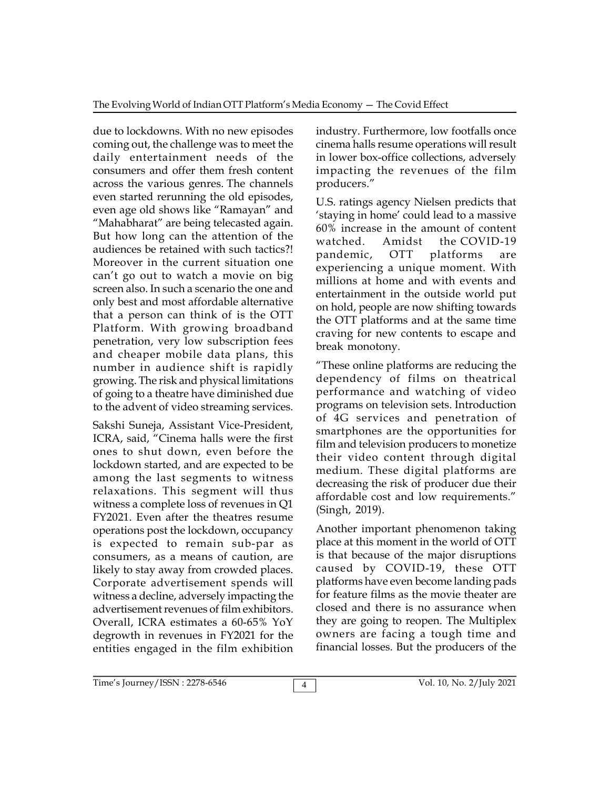due to lockdowns. With no new episodes coming out, the challenge was to meet the daily entertainment needs of the consumers and offer them fresh content across the various genres. The channels even started rerunning the old episodes, even age old shows like "Ramayan" and "Mahabharat" are being telecasted again. But how long can the attention of the watched. audiences be retained with such tactics?! Moreover in the current situation one can't go out to watch a movie on big screen also. In such a scenario the one and only best and most affordable alternative that a person can think of is the OTT Platform. With growing broadband penetration, very low subscription fees and cheaper mobile data plans, this number in audience shift is rapidly growing. The risk and physical limitations of going to a theatre have diminished due to the advent of video streaming services.

Sakshi Suneja, Assistant Vice-President, ICRA, said, "Cinema halls were the first ones to shut down, even before the lockdown started, and are expected to be among the last segments to witness relaxations. This segment will thus witness a complete loss of revenues in Q1 FY2021. Even after the theatres resume operations post the lockdown, occupancy is expected to remain sub-par as consumers, as a means of caution, are likely to stay away from crowded places. Corporate advertisement spends will witness a decline, adversely impacting the advertisement revenues of film exhibitors. Overall, ICRA estimates a 60-65% YoY degrowth in revenues in FY2021 for the entities engaged in the film exhibition industry. Furthermore, low footfalls once cinema halls resume operations will result in lower box-office collections, adversely impacting the revenues of the film producers."

U.S. ratings agency Nielsen predicts that 'staying in home' could lead to a massive 60% increase in the amount of content Amidst the COVID-19 pandemic, OTT platforms are experiencing a unique moment. With millions at home and with events and entertainment in the outside world put on hold, people are now shifting towards the OTT platforms and at the same time craving for new contents to escape and break monotony.

"These online platforms are reducing the dependency of films on theatrical performance and watching of video programs on television sets. Introduction of 4G services and penetration of smartphones are the opportunities for film and television producers to monetize their video content through digital medium. These digital platforms are decreasing the risk of producer due their affordable cost and low requirements." (Singh, 2019).

Another important phenomenon taking place at this moment in the world of OTT is that because of the major disruptions caused by COVID-19, these OTT platforms have even become landing pads for feature films as the movie theater are closed and there is no assurance when they are going to reopen. The Multiplex owners are facing a tough time and financial losses. But the producers of the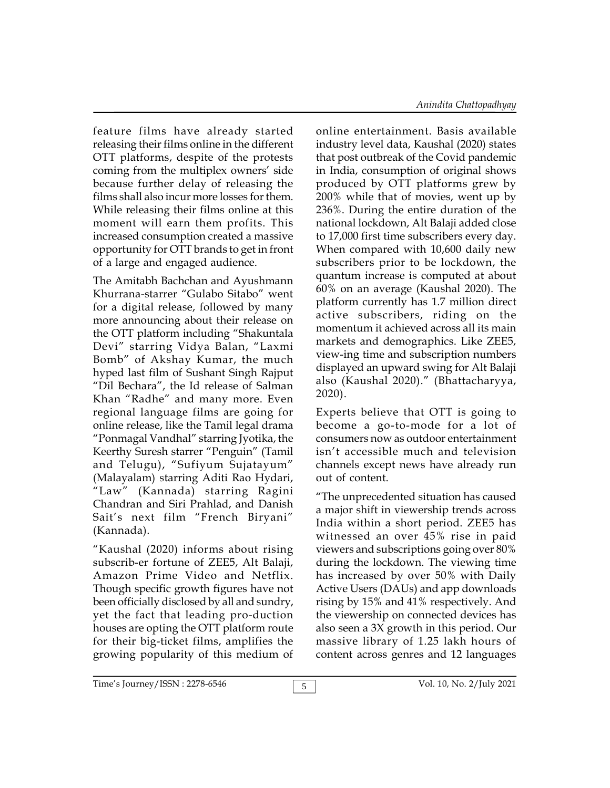feature films have already started releasing their films online in the different OTT platforms, despite of the protests coming from the multiplex owners' side because further delay of releasing the films shall also incur more losses for them. While releasing their films online at this moment will earn them profits. This increased consumption created a massive opportunity for OTT brands to get in front of a large and engaged audience.

The Amitabh Bachchan and Ayushmann Khurrana-starrer "Gulabo Sitabo" went for a digital release, followed by many more announcing about their release on the OTT platform including "Shakuntala Devi" starring Vidya Balan, "Laxmi Bomb" of Akshay Kumar, the much hyped last film of Sushant Singh Rajput "Dil Bechara", the Id release of Salman Khan "Radhe" and many more. Even regional language films are going for online release, like the Tamil legal drama "Ponmagal Vandhal" starring Jyotika, the Keerthy Suresh starrer "Penguin" (Tamil and Telugu), "Sufiyum Sujatayum" (Malayalam) starring Aditi Rao Hydari, "Law" (Kannada) starring Ragini Chandran and Siri Prahlad, and Danish Sait's next film "French Biryani" (Kannada).

"Kaushal (2020) informs about rising subscrib-er fortune of ZEE5, Alt Balaji, Amazon Prime Video and Netflix. Though specific growth figures have not been officially disclosed by all and sundry, yet the fact that leading pro-duction houses are opting the OTT platform route for their big-ticket films, amplifies the growing popularity of this medium of online entertainment. Basis available industry level data, Kaushal (2020) states that post outbreak of the Covid pandemic in India, consumption of original shows produced by OTT platforms grew by 200% while that of movies, went up by 236%. During the entire duration of the national lockdown, Alt Balaji added close to 17,000 first time subscribers every day. When compared with 10,600 daily new subscribers prior to be lockdown, the quantum increase is computed at about 60% on an average (Kaushal 2020). The platform currently has 1.7 million direct active subscribers, riding on the momentum it achieved across all its main markets and demographics. Like ZEE5, view-ing time and subscription numbers displayed an upward swing for Alt Balaji also (Kaushal 2020)." (Bhattacharyya, 2020).

Experts believe that OTT is going to become a go-to-mode for a lot of consumers now as outdoor entertainment isn't accessible much and television channels except news have already run out of content.

"The unprecedented situation has caused a major shift in viewership trends across India within a short period. ZEE5 has witnessed an over 45% rise in paid viewers and subscriptions going over 80% during the lockdown. The viewing time has increased by over 50% with Daily Active Users (DAUs) and app downloads rising by 15% and 41% respectively. And the viewership on connected devices has also seen a 3X growth in this period. Our massive library of 1.25 lakh hours of content across genres and 12 languages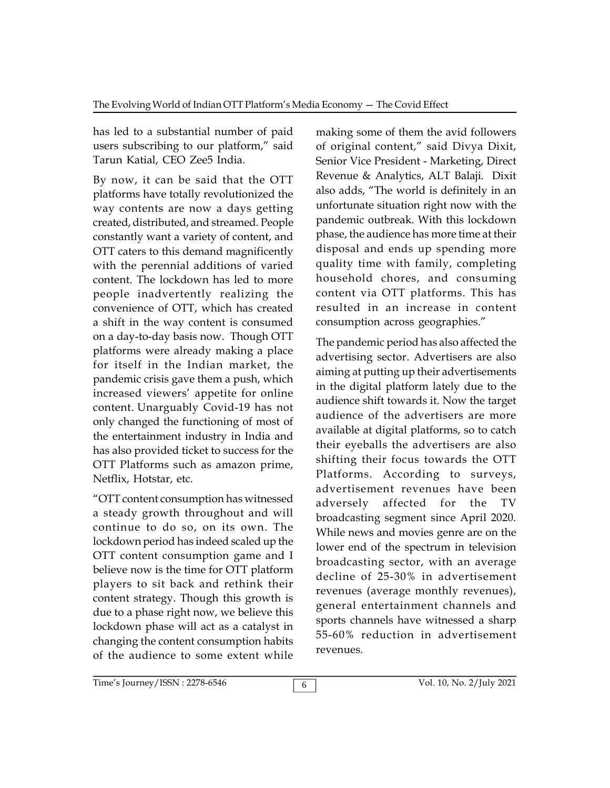has led to a substantial number of paid users subscribing to our platform," said Tarun Katial, CEO Zee5 India.

By now, it can be said that the OTT platforms have totally revolutionized the way contents are now a days getting created, distributed, and streamed. People constantly want a variety of content, and OTT caters to this demand magnificently with the perennial additions of varied content. The lockdown has led to more people inadvertently realizing the convenience of OTT, which has created a shift in the way content is consumed on a day-to-day basis now. Though OTT platforms were already making a place for itself in the Indian market, the pandemic crisis gave them a push, which increased viewers' appetite for online content. Unarguably Covid-19 has not only changed the functioning of most of the entertainment industry in India and has also provided ticket to success for the OTT Platforms such as amazon prime, Netflix, Hotstar, etc.

"OTT content consumption has witnessed a steady growth throughout and will continue to do so, on its own. The lockdown period has indeed scaled up the OTT content consumption game and I believe now is the time for OTT platform players to sit back and rethink their content strategy. Though this growth is due to a phase right now, we believe this lockdown phase will act as a catalyst in changing the content consumption habits of the audience to some extent while

making some of them the avid followers of original content," said Divya Dixit, Senior Vice President - Marketing, Direct Revenue & Analytics, ALT Balaji. Dixit also adds, "The world is definitely in an unfortunate situation right now with the pandemic outbreak. With this lockdown phase, the audience has more time at their disposal and ends up spending more quality time with family, completing household chores, and consuming content via OTT platforms. This has resulted in an increase in content consumption across geographies."

The pandemic period has also affected the advertising sector. Advertisers are also aiming at putting up their advertisements in the digital platform lately due to the audience shift towards it. Now the target audience of the advertisers are more available at digital platforms, so to catch their eyeballs the advertisers are also shifting their focus towards the OTT Platforms. According to surveys, advertisement revenues have been adversely affected for the TV broadcasting segment since April 2020. While news and movies genre are on the lower end of the spectrum in television broadcasting sector, with an average decline of 25-30% in advertisement revenues (average monthly revenues), general entertainment channels and sports channels have witnessed a sharp 55-60% reduction in advertisement revenues.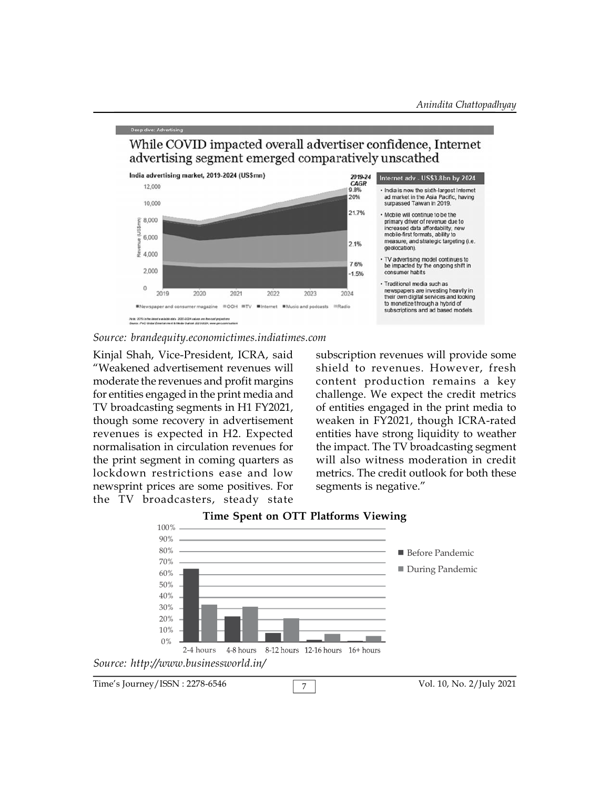

While COVID impacted overall advertiser confidence, Internet

#### *Source: brandequity.economictimes.indiatimes.com*

Kinjal Shah, Vice-President, ICRA, said "Weakened advertisement revenues will moderate the revenues and profit margins for entities engaged in the print media and TV broadcasting segments in H1 FY2021, though some recovery in advertisement revenues is expected in H2. Expected normalisation in circulation revenues for the print segment in coming quarters as lockdown restrictions ease and low newsprint prices are some positives. For the TV broadcasters, steady state

subscription revenues will provide some shield to revenues. However, fresh content production remains a key challenge. We expect the credit metrics of entities engaged in the print media to weaken in FY2021, though ICRA-rated entities have strong liquidity to weather the impact. The TV broadcasting segment will also witness moderation in credit metrics. The credit outlook for both these segments is negative."



#### **Time Spent on OTT Platforms Viewing**

Time's Journey/ISSN : 2278-6546 <br>
7 1 Vol. 10, No. 2/July 2021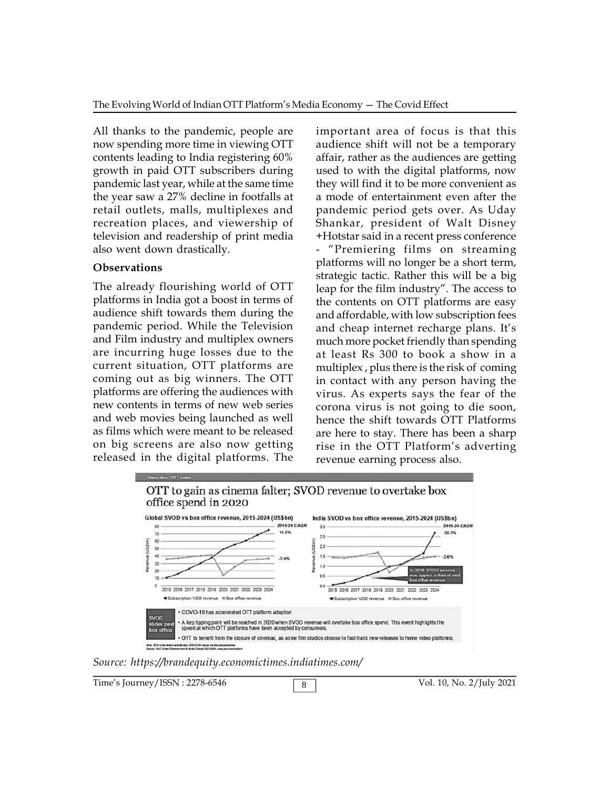All thanks to the pandemic, people are now spending more time in viewing OTT contents leading to India registering 60% growth in paid OTT subscribers during pandemic last year, while at the same time the year saw a 27% decline in footfalls at retail outlets, malls, multiplexes and recreation places, and viewership of television and readership of print media also went down drastically.

### **Observations**

The already flourishing world of OTT platforms in India got a boost in terms of audience shift towards them during the pandemic period. While the Television and Film industry and multiplex owners are incurring huge losses due to the current situation, OTT platforms are coming out as big winners. The OTT platforms are offering the audiences with new contents in terms of new web series and web movies being launched as well as films which were meant to be released on big screens are also now getting released in the digital platforms. The

important area of focus is that this audience shift will not be a temporary affair, rather as the audiences are getting used to with the digital platforms, now they will find it to be more convenient as a mode of entertainment even after the pandemic period gets over. As Uday Shankar, president of Walt Disney +Hotstar said in a recent press conference - "Premiering films on streaming platforms will no longer be a short term, strategic tactic. Rather this will be a big leap for the film industry". The access to the contents on OTT platforms are easy and affordable, with low subscription fees and cheap internet recharge plans. It's much more pocket friendly than spending at least Rs 300 to book a show in a multiplex , plus there is the risk of coming in contact with any person having the virus. As experts says the fear of the corona virus is not going to die soon, hence the shift towards OTT Platforms are here to stay. There has been a sharp rise in the OTT Platform's adverting revenue earning process also.



*Source: https://brandequity.economictimes.indiatimes.com/*

Time's Journey/ISSN : 2278-6546 8 8 3 3 Vol. 10, No. 2/July 2021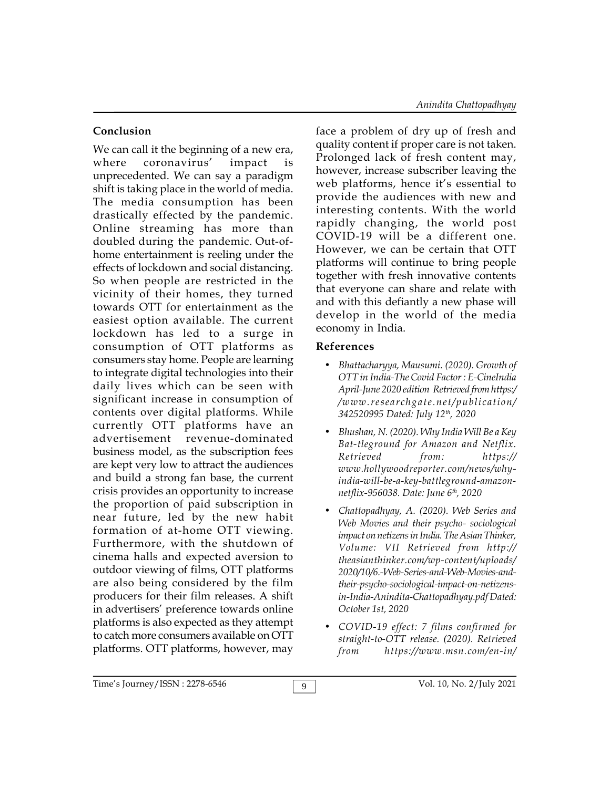# **Conclusion**

We can call it the beginning of a new era, where coronavirus' impact is unprecedented. We can say a paradigm shift is taking place in the world of media. The media consumption has been drastically effected by the pandemic. Online streaming has more than doubled during the pandemic. Out-ofhome entertainment is reeling under the effects of lockdown and social distancing. So when people are restricted in the vicinity of their homes, they turned towards OTT for entertainment as the easiest option available. The current lockdown has led to a surge in consumption of OTT platforms as consumers stay home. People are learning to integrate digital technologies into their daily lives which can be seen with significant increase in consumption of contents over digital platforms. While currently OTT platforms have an advertisement revenue-dominated business model, as the subscription fees are kept very low to attract the audiences and build a strong fan base, the current crisis provides an opportunity to increase the proportion of paid subscription in near future, led by the new habit formation of at-home OTT viewing. Furthermore, with the shutdown of cinema halls and expected aversion to outdoor viewing of films, OTT platforms are also being considered by the film producers for their film releases. A shift in advertisers' preference towards online platforms is also expected as they attempt to catch more consumers available on OTT platforms. OTT platforms, however, may  $f_{\text{from}}$ 

face a problem of dry up of fresh and quality content if proper care is not taken. Prolonged lack of fresh content may, however, increase subscriber leaving the web platforms, hence it's essential to provide the audiences with new and interesting contents. With the world rapidly changing, the world post COVID-19 will be a different one. However, we can be certain that OTT platforms will continue to bring people together with fresh innovative contents that everyone can share and relate with and with this defiantly a new phase will develop in the world of the media economy in India.

## **References**

- *Bhattacharyya, Mausumi. (2020). Growth of OTT in India-The Covid Factor : E-CineIndia April-June 2020 edition Retrieved from https:/ /www.researchgate.net/publication/ 342520995 Dated: July 12th, 2020*
- *Bhushan, N. (2020). Why India Will Be a Key Battleground for Amazon and Netflix. Retrieved from: https:// www.hollywoodreporter.com/news/whyindia-will-be-a-key-battleground-amazonnetflix-956038. Date: June 6th, 2020*
- *Chattopadhyay, A. (2020). Web Series and Web Movies and their psycho- sociological impact on netizens in India. The Asian Thinker, Volume: VII Retrieved from http:// theasianthinker.com/wp-content/uploads/ 2020/10/6.-Web-Series-and-Web-Movies-andtheir-psycho-sociological-impact-on-netizensin-India-Anindita-Chattopadhyay.pdf Dated: October 1st, 2020*
- *COVID-19 effect: 7 films confirmed for straight-to-OTT release. (2020). Retrieved from https://www.msn.com/en-in/*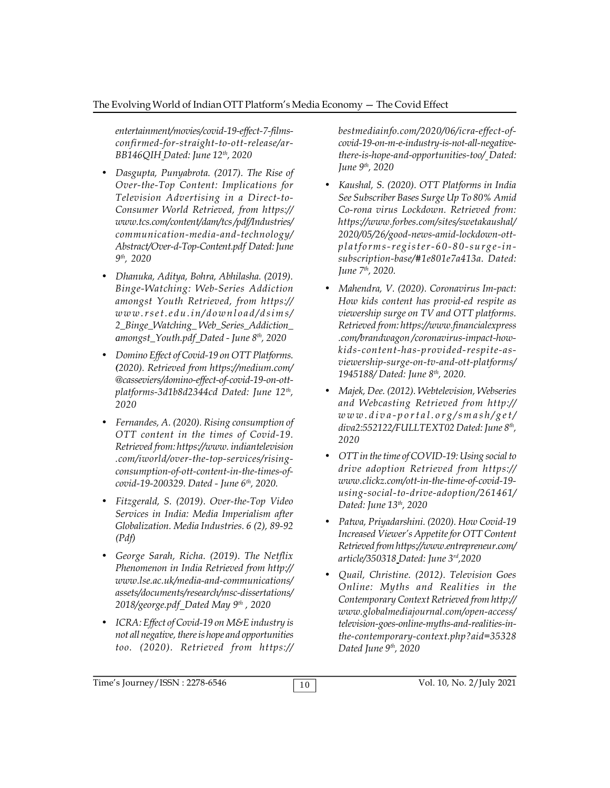*entertainment/movies/covid-19-effect-7-filmsconfirmed-for-straight-to-ott-release/ar-BB146QIH Dated: June 12th, 2020*

- *Dasgupta, Punyabrota. (2017). The Rise of Over-the-Top Content: Implications for Television Advertising in a Direct-to-Consumer World Retrieved, from https:// www.tcs.com/content/dam/tcs /pdf/Industries/ communication-media-and-technology/ Abstract/Over-d-Top-Content.pdf Dated: June 9 th, 2020*
- *Dhanuka, Aditya, Bohra, Abhilasha. (2019). Binge-Watching: Web-Series Addiction amongst Youth Retrieved, from https://* <sup>gth</sup>, 2020<br> *Whanuka, Aditya, Bohra, Abhilasha.* (2019). *June 7<sup>th</sup>,<br>
Binge-Watching: Web-Series Addiction*<br> *amongst Youth Retrieved, from https:// Mahend:*<br> *www.rset.edu.in/download/dsims/ 2\_Binge\_Watching\_ Web\_Series\_Addiction\_ amongst\_Youth.pdf Dated - June 8th, 2020*
- *Domino Effect of Covid-19 on OTT Platforms. (2020). Retrieved from https://medium.com/ @casseviers/domino-effect-of-covid-19-on-ottplatforms-3d1b8d2344cd Dated: June 12th , 2020*
- *Fernandes, A. (2020). Rising consumption of OTT content in the times of Covid-19. Retrieved from: https://www. indiantelevision .com/iworld/over-the-top-services/risingconsumption-of-ott-content-in-the-times-ofcovid-19-200329. Dated - June 6th, 2020.*
- *Fitzgerald, S. (2019). Over-the-Top Video Services in India: Media Imperialism after Globalization. Media Industries. 6 (2), 89-92 (Pdf)*
- *George Sarah, Richa. (2019). The Netflix Phenomenon in India Retrieved from http:// www.lse.ac.uk/media-and-communications/ assets/documents/research/msc-dissertations/ 2018/george.pdf Dated May 9th , 2020*
- *ICRA: Effect of Covid-19 on M&E industry is not all negative, there is hope and opportunities too. (2020). Retrieved from https://*

*bestmediainfo.com/2020/06/icra-effect-ofcovid-19-on-m-e-industry-is-not-all-negativethere-is-hope-and-opportunities-too/ Dated: June 9th, 2020*

- *Kaushal, S. (2020). OTT Platforms in India See Subscriber Bases Surge Up To 80% Amid Corona virus Lockdown. Retrieved from: https://www.forbes.com/sites/swetakaushal/ 2020/05/26/good-news-amid-lockdown-ott-Property Bases Surge Up To 80% Amid*<br> *Poe Subscriber Bases Surge Up To 80% Amid*<br> *Co-rona virus Lockdown. Retrieved from:*<br> *https://www.forbes.com/sites/swetakaushal/*<br> *2020/05/26/good-news-amid-lockdown-ott-*<br> *platf subscription-base/#1e801e7a413a. Dated: June 7th, 2020.*
- *Mahendra, V. (2020). Coronavirus Impact: How kids content has provided respite as viewership surge on TV and OTT platforms. Retrieved from: https://www.financialexpress .com/brandwagon /coronavirus-impact-howkids-content-has-provided-respite-asviewership-surge-on-tv-and-ott-platforms/ 1945188/ Dated: June 8th, 2020.*
- *Majek, Dee. (2012). Webtelevision, Webseries and Webcasting Retrieved from http:// viewership-surge-on-tv-and-ott-platforms/*<br>1945188/ Dated: June 8<sup>th</sup>, 2020.<br>Majek, Dee. (2012). Webtelevision, Webseries<br>and Webcasting Retrieved from http://<br>w w w . d i v a - p o r t a l . o r g / s m a s h / g e t /<br>d *diva2:552122/FULLTEXT02 Dated: June 8th , 2020*
- *OTT in the time of COVID-19: Using social to drive adoption Retrieved from https:// www.clickz.com/ott-in-the-time-of-covid-19 using-social-to-drive-adoption/261461/ Dated: June 13th, 2020*
- *Patwa, Priyadarshini. (2020). How Covid-19 Increased Viewer's Appetite for OTT Content Retrieved from https://www.entrepreneur.com/ article/350318 Dated: June 3rd,2020*
- *Quail, Christine. (2012). Television Goes Online: Myths and Realities in the Contemporary Context Retrieved from http:// www.globalmediajournal.com/open-access/ television-goes-online-myths-and-realities-inthe-contemporary-context.php?aid=35328 Dated June 9th, 2020*